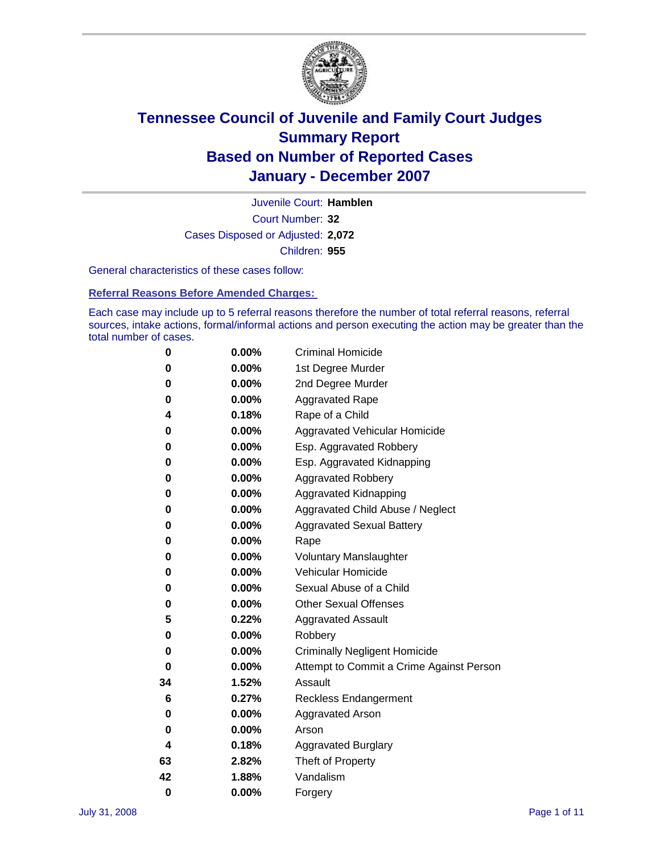

Court Number: **32** Juvenile Court: **Hamblen** Cases Disposed or Adjusted: **2,072** Children: **955**

General characteristics of these cases follow:

**Referral Reasons Before Amended Charges:** 

Each case may include up to 5 referral reasons therefore the number of total referral reasons, referral sources, intake actions, formal/informal actions and person executing the action may be greater than the total number of cases.

| 0  | 0.00%    | <b>Criminal Homicide</b>                 |
|----|----------|------------------------------------------|
| 0  | 0.00%    | 1st Degree Murder                        |
| 0  | $0.00\%$ | 2nd Degree Murder                        |
| 0  | 0.00%    | <b>Aggravated Rape</b>                   |
| 4  | 0.18%    | Rape of a Child                          |
| 0  | 0.00%    | Aggravated Vehicular Homicide            |
| 0  | 0.00%    | Esp. Aggravated Robbery                  |
| 0  | 0.00%    | Esp. Aggravated Kidnapping               |
| 0  | 0.00%    | <b>Aggravated Robbery</b>                |
| 0  | $0.00\%$ | Aggravated Kidnapping                    |
| 0  | 0.00%    | Aggravated Child Abuse / Neglect         |
| 0  | $0.00\%$ | <b>Aggravated Sexual Battery</b>         |
| 0  | 0.00%    | Rape                                     |
| 0  | 0.00%    | <b>Voluntary Manslaughter</b>            |
| 0  | 0.00%    | Vehicular Homicide                       |
| 0  | 0.00%    | Sexual Abuse of a Child                  |
| 0  | 0.00%    | <b>Other Sexual Offenses</b>             |
| 5  | 0.22%    | <b>Aggravated Assault</b>                |
| 0  | $0.00\%$ | Robbery                                  |
| 0  | 0.00%    | <b>Criminally Negligent Homicide</b>     |
| 0  | 0.00%    | Attempt to Commit a Crime Against Person |
| 34 | 1.52%    | Assault                                  |
| 6  | 0.27%    | <b>Reckless Endangerment</b>             |
| 0  | 0.00%    | <b>Aggravated Arson</b>                  |
| 0  | 0.00%    | Arson                                    |
| 4  | 0.18%    | <b>Aggravated Burglary</b>               |
| 63 | 2.82%    | Theft of Property                        |
| 42 | 1.88%    | Vandalism                                |
| 0  | 0.00%    | Forgery                                  |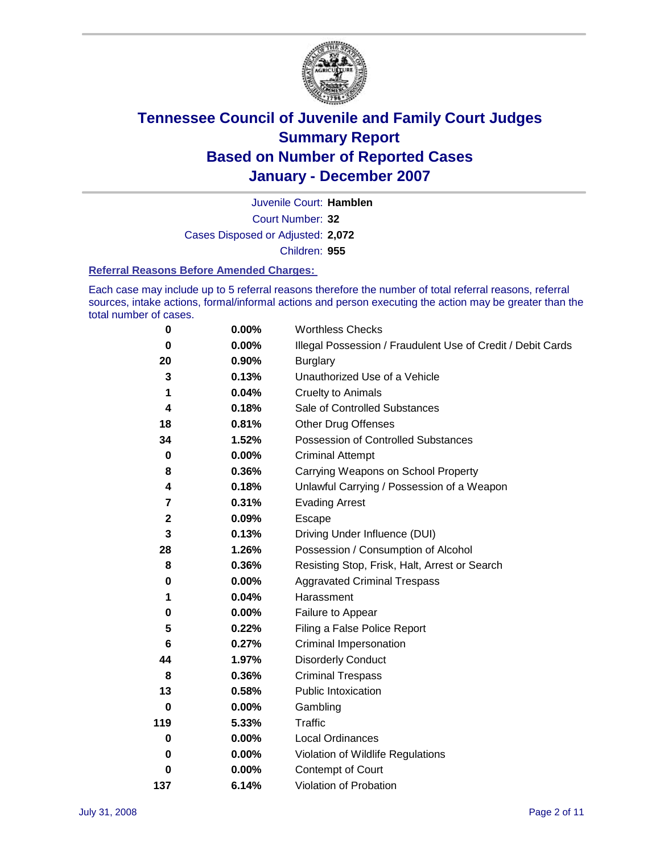

Court Number: **32** Juvenile Court: **Hamblen** Cases Disposed or Adjusted: **2,072** Children: **955**

#### **Referral Reasons Before Amended Charges:**

Each case may include up to 5 referral reasons therefore the number of total referral reasons, referral sources, intake actions, formal/informal actions and person executing the action may be greater than the total number of cases.

| 0            | 0.00%    | <b>Worthless Checks</b>                                     |
|--------------|----------|-------------------------------------------------------------|
| 0            | 0.00%    | Illegal Possession / Fraudulent Use of Credit / Debit Cards |
| 20           | 0.90%    | <b>Burglary</b>                                             |
| 3            | 0.13%    | Unauthorized Use of a Vehicle                               |
| 1            | 0.04%    | <b>Cruelty to Animals</b>                                   |
| 4            | 0.18%    | Sale of Controlled Substances                               |
| 18           | 0.81%    | <b>Other Drug Offenses</b>                                  |
| 34           | 1.52%    | <b>Possession of Controlled Substances</b>                  |
| $\pmb{0}$    | $0.00\%$ | <b>Criminal Attempt</b>                                     |
| 8            | 0.36%    | Carrying Weapons on School Property                         |
| 4            | 0.18%    | Unlawful Carrying / Possession of a Weapon                  |
| 7            | 0.31%    | <b>Evading Arrest</b>                                       |
| $\mathbf{2}$ | 0.09%    | Escape                                                      |
| 3            | 0.13%    | Driving Under Influence (DUI)                               |
| 28           | 1.26%    | Possession / Consumption of Alcohol                         |
| 8            | 0.36%    | Resisting Stop, Frisk, Halt, Arrest or Search               |
| 0            | 0.00%    | <b>Aggravated Criminal Trespass</b>                         |
| 1            | 0.04%    | Harassment                                                  |
| 0            | $0.00\%$ | Failure to Appear                                           |
| 5            | 0.22%    | Filing a False Police Report                                |
| 6            | 0.27%    | Criminal Impersonation                                      |
| 44           | 1.97%    | <b>Disorderly Conduct</b>                                   |
| 8            | 0.36%    | <b>Criminal Trespass</b>                                    |
| 13           | 0.58%    | Public Intoxication                                         |
| $\bf{0}$     | $0.00\%$ | Gambling                                                    |
| 119          | 5.33%    | Traffic                                                     |
| 0            | $0.00\%$ | Local Ordinances                                            |
| 0            | 0.00%    | Violation of Wildlife Regulations                           |
| 0            | $0.00\%$ | Contempt of Court                                           |
| 137          | 6.14%    | Violation of Probation                                      |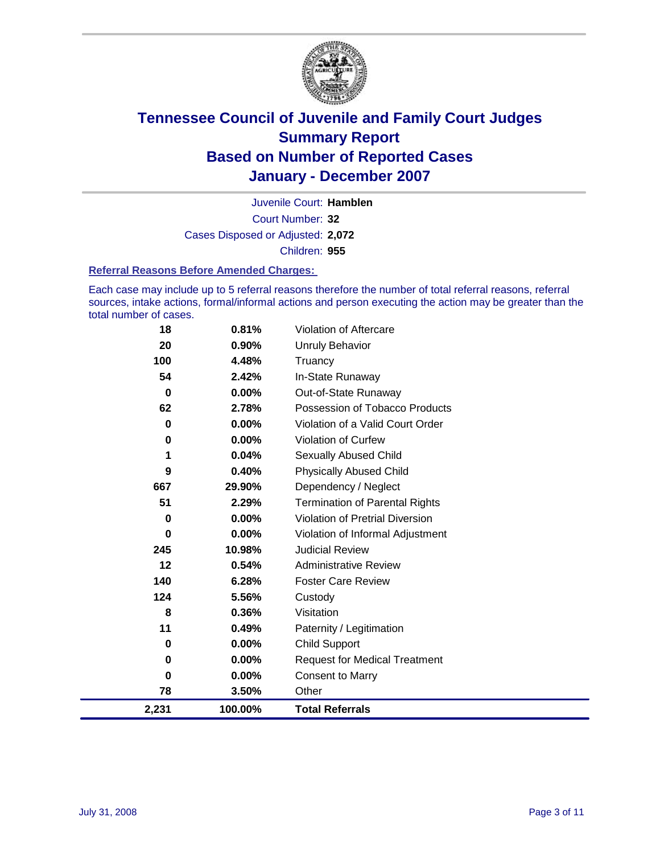

Court Number: **32** Juvenile Court: **Hamblen** Cases Disposed or Adjusted: **2,072** Children: **955**

#### **Referral Reasons Before Amended Charges:**

Each case may include up to 5 referral reasons therefore the number of total referral reasons, referral sources, intake actions, formal/informal actions and person executing the action may be greater than the total number of cases.

| 2,231 | 100.00% | <b>Total Referrals</b>                 |
|-------|---------|----------------------------------------|
| 78    | 3.50%   | Other                                  |
| 0     | 0.00%   | <b>Consent to Marry</b>                |
| 0     | 0.00%   | <b>Request for Medical Treatment</b>   |
| 0     | 0.00%   | <b>Child Support</b>                   |
| 11    | 0.49%   | Paternity / Legitimation               |
| 8     | 0.36%   | Visitation                             |
| 124   | 5.56%   | Custody                                |
| 140   | 6.28%   | <b>Foster Care Review</b>              |
| 12    | 0.54%   | <b>Administrative Review</b>           |
| 245   | 10.98%  | <b>Judicial Review</b>                 |
| 0     | 0.00%   | Violation of Informal Adjustment       |
| 0     | 0.00%   | <b>Violation of Pretrial Diversion</b> |
| 51    | 2.29%   | <b>Termination of Parental Rights</b>  |
| 667   | 29.90%  | Dependency / Neglect                   |
| 9     | 0.40%   | <b>Physically Abused Child</b>         |
| 1     | 0.04%   | <b>Sexually Abused Child</b>           |
| 0     | 0.00%   | Violation of Curfew                    |
| 0     | 0.00%   | Violation of a Valid Court Order       |
| 62    | 2.78%   | Possession of Tobacco Products         |
| 0     | 0.00%   | Out-of-State Runaway                   |
| 54    | 2.42%   | In-State Runaway                       |
| 100   | 4.48%   | Truancy                                |
| 20    | 0.90%   | <b>Unruly Behavior</b>                 |
| 18    | 0.81%   | Violation of Aftercare                 |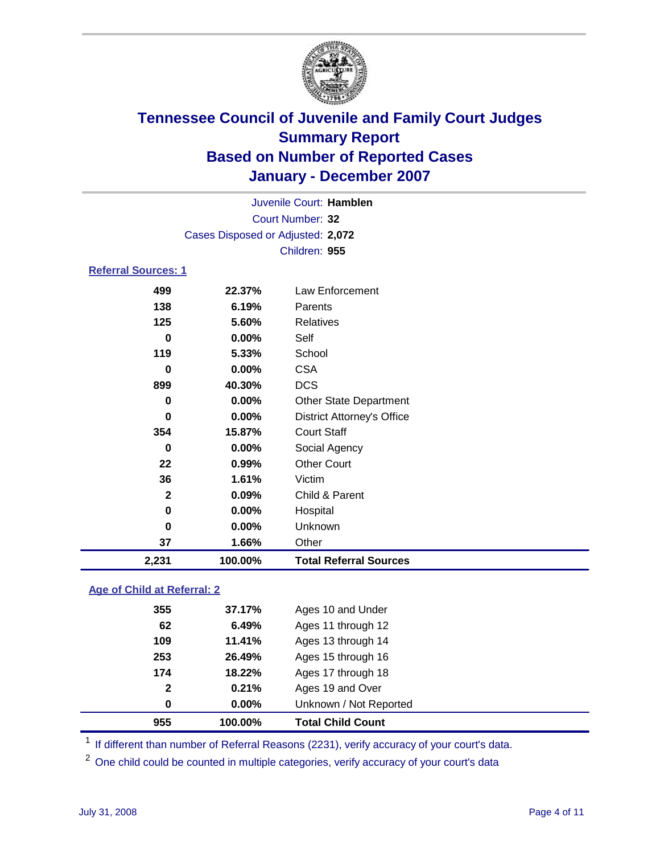

|                            |          | Juvenile Court: Hamblen           |  |
|----------------------------|----------|-----------------------------------|--|
|                            |          | Court Number: 32                  |  |
|                            |          | Cases Disposed or Adjusted: 2,072 |  |
|                            |          | Children: 955                     |  |
| <b>Referral Sources: 1</b> |          |                                   |  |
| 499                        | 22.37%   | Law Enforcement                   |  |
| 138                        | 6.19%    | Parents                           |  |
| 125                        | 5.60%    | Relatives                         |  |
| 0                          | $0.00\%$ | Self                              |  |
| 119                        | 5.33%    | School                            |  |
| 0                          | 0.00%    | <b>CSA</b>                        |  |
| 899                        | 40.30%   | <b>DCS</b>                        |  |
| 0                          | 0.00%    | <b>Other State Department</b>     |  |
| 0                          | 0.00%    | <b>District Attorney's Office</b> |  |
| 354                        | 15.87%   | <b>Court Staff</b>                |  |
| 0                          | $0.00\%$ | Social Agency                     |  |
| 22                         | 0.99%    | <b>Other Court</b>                |  |
| 36                         | 1.61%    | Victim                            |  |
| $\mathbf{2}$               | 0.09%    | Child & Parent                    |  |
| 0                          | 0.00%    | Hospital                          |  |
| 0                          | 0.00%    | Unknown                           |  |
| 37                         | 1.66%    | Other                             |  |

#### **Age of Child at Referral: 2**

| 955 | 100.00%               | <b>Total Child Count</b> |  |
|-----|-----------------------|--------------------------|--|
|     | $0.00\%$<br>0         | Unknown / Not Reported   |  |
|     | 0.21%<br>$\mathbf{2}$ | Ages 19 and Over         |  |
| 174 | 18.22%                | Ages 17 through 18       |  |
| 253 | 26.49%                | Ages 15 through 16       |  |
| 109 | 11.41%                | Ages 13 through 14       |  |
| 62  | 6.49%                 | Ages 11 through 12       |  |
| 355 | 37.17%                | Ages 10 and Under        |  |
|     |                       |                          |  |

<sup>1</sup> If different than number of Referral Reasons (2231), verify accuracy of your court's data.

<sup>2</sup> One child could be counted in multiple categories, verify accuracy of your court's data

**2,231 100.00% Total Referral Sources**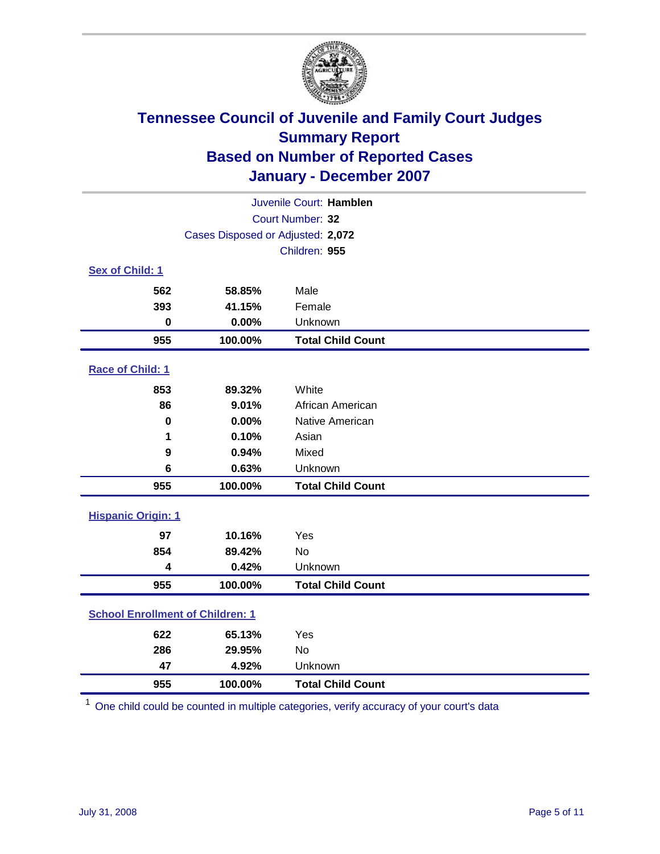

| Juvenile Court: Hamblen                 |                                   |                          |  |  |  |
|-----------------------------------------|-----------------------------------|--------------------------|--|--|--|
| Court Number: 32                        |                                   |                          |  |  |  |
|                                         | Cases Disposed or Adjusted: 2,072 |                          |  |  |  |
|                                         |                                   | Children: 955            |  |  |  |
| Sex of Child: 1                         |                                   |                          |  |  |  |
| 562                                     | 58.85%                            | Male                     |  |  |  |
| 393                                     | 41.15%                            | Female                   |  |  |  |
| $\bf{0}$                                | 0.00%                             | Unknown                  |  |  |  |
| 955                                     | 100.00%                           | <b>Total Child Count</b> |  |  |  |
| Race of Child: 1                        |                                   |                          |  |  |  |
| 853                                     | 89.32%                            | White                    |  |  |  |
| 86                                      | 9.01%                             | African American         |  |  |  |
| $\bf{0}$                                | 0.00%                             | Native American          |  |  |  |
| 1                                       | 0.10%                             | Asian                    |  |  |  |
| 9                                       | 0.94%                             | Mixed                    |  |  |  |
| 6                                       | 0.63%                             | Unknown                  |  |  |  |
| 955                                     | 100.00%                           | <b>Total Child Count</b> |  |  |  |
| <b>Hispanic Origin: 1</b>               |                                   |                          |  |  |  |
| 97                                      | 10.16%                            | Yes                      |  |  |  |
| 854                                     | 89.42%                            | <b>No</b>                |  |  |  |
| $\overline{\mathbf{4}}$                 | 0.42%                             | Unknown                  |  |  |  |
| 955                                     | 100.00%                           | <b>Total Child Count</b> |  |  |  |
| <b>School Enrollment of Children: 1</b> |                                   |                          |  |  |  |
| 622                                     | 65.13%                            | Yes                      |  |  |  |
| 286                                     | 29.95%                            | <b>No</b>                |  |  |  |
| 47                                      | 4.92%                             | Unknown                  |  |  |  |
| 955                                     | 100.00%                           | <b>Total Child Count</b> |  |  |  |

One child could be counted in multiple categories, verify accuracy of your court's data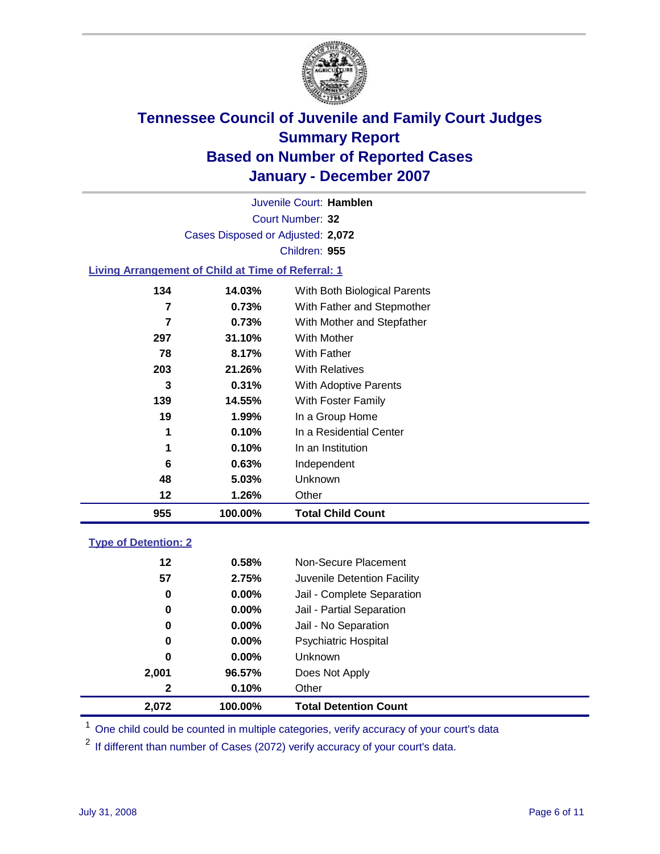

Court Number: **32** Juvenile Court: **Hamblen** Cases Disposed or Adjusted: **2,072** Children: **955**

#### **Living Arrangement of Child at Time of Referral: 1**

| 955 | 100.00% | <b>Total Child Count</b>     |
|-----|---------|------------------------------|
| 12  | 1.26%   | Other                        |
| 48  | 5.03%   | <b>Unknown</b>               |
| 6   | 0.63%   | Independent                  |
| 1   | 0.10%   | In an Institution            |
| 1   | 0.10%   | In a Residential Center      |
| 19  | 1.99%   | In a Group Home              |
| 139 | 14.55%  | With Foster Family           |
| 3   | 0.31%   | With Adoptive Parents        |
| 203 | 21.26%  | <b>With Relatives</b>        |
| 78  | 8.17%   | <b>With Father</b>           |
| 297 | 31.10%  | With Mother                  |
| 7   | 0.73%   | With Mother and Stepfather   |
| 7   | 0.73%   | With Father and Stepmother   |
| 134 | 14.03%  | With Both Biological Parents |
|     |         |                              |

#### **Type of Detention: 2**

| 2.072   | 100.00%  | <b>Total Detention Count</b> |  |
|---------|----------|------------------------------|--|
| 2       | 0.10%    | Other                        |  |
| 2,001   | 96.57%   | Does Not Apply               |  |
| 0       | $0.00\%$ | <b>Unknown</b>               |  |
| 0       | 0.00%    | <b>Psychiatric Hospital</b>  |  |
| 0       | 0.00%    | Jail - No Separation         |  |
| 0       | $0.00\%$ | Jail - Partial Separation    |  |
| 0       | $0.00\%$ | Jail - Complete Separation   |  |
| 57      | 2.75%    | Juvenile Detention Facility  |  |
| $12 \,$ | 0.58%    | Non-Secure Placement         |  |
|         |          |                              |  |

<sup>1</sup> One child could be counted in multiple categories, verify accuracy of your court's data

<sup>2</sup> If different than number of Cases (2072) verify accuracy of your court's data.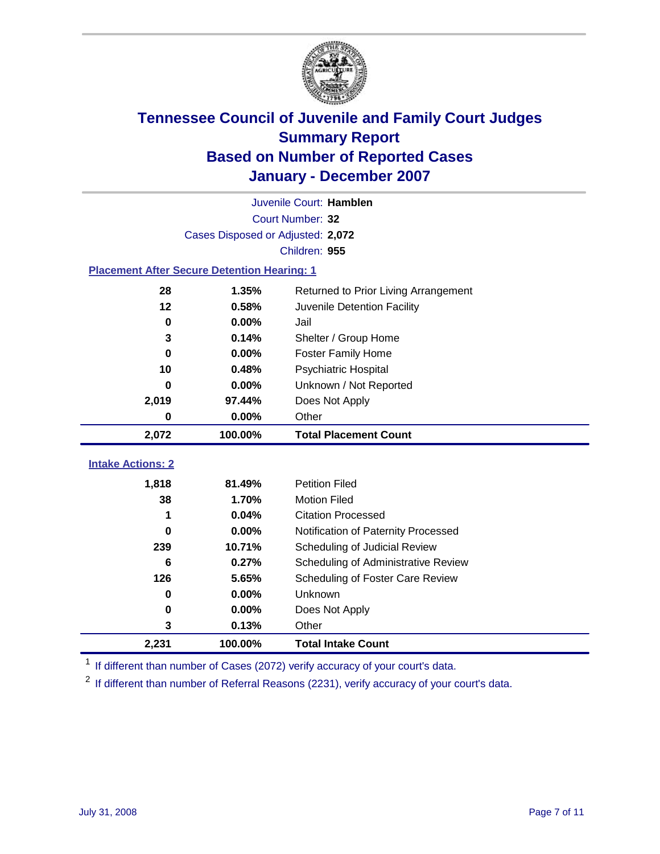

|                                                    | Juvenile Court: Hamblen           |                                      |  |  |  |
|----------------------------------------------------|-----------------------------------|--------------------------------------|--|--|--|
|                                                    | Court Number: 32                  |                                      |  |  |  |
|                                                    | Cases Disposed or Adjusted: 2,072 |                                      |  |  |  |
|                                                    |                                   | Children: 955                        |  |  |  |
| <b>Placement After Secure Detention Hearing: 1</b> |                                   |                                      |  |  |  |
| 28                                                 | 1.35%                             | Returned to Prior Living Arrangement |  |  |  |
| 12                                                 | 0.58%                             | Juvenile Detention Facility          |  |  |  |
| 0                                                  | 0.00%                             | Jail                                 |  |  |  |
| 3                                                  | 0.14%                             | Shelter / Group Home                 |  |  |  |
| 0                                                  | 0.00%                             | <b>Foster Family Home</b>            |  |  |  |
| 10                                                 | 0.48%                             | Psychiatric Hospital                 |  |  |  |
| 0                                                  | 0.00%                             | Unknown / Not Reported               |  |  |  |
| 2,019                                              | 97.44%                            | Does Not Apply                       |  |  |  |
| $\mathbf 0$                                        | 0.00%                             | Other                                |  |  |  |
| 2,072                                              | 100.00%                           | <b>Total Placement Count</b>         |  |  |  |
|                                                    |                                   |                                      |  |  |  |
| <b>Intake Actions: 2</b>                           |                                   |                                      |  |  |  |
| 1,818                                              | 81.49%                            | <b>Petition Filed</b>                |  |  |  |
| 38                                                 | 1.70%                             | <b>Motion Filed</b>                  |  |  |  |
| 1                                                  | 0.04%                             | <b>Citation Processed</b>            |  |  |  |
| 0                                                  | 0.00%                             | Notification of Paternity Processed  |  |  |  |
| 239                                                | 10.71%                            | Scheduling of Judicial Review        |  |  |  |
| 6                                                  | 0.27%                             | Scheduling of Administrative Review  |  |  |  |
| 126                                                | 5.65%                             | Scheduling of Foster Care Review     |  |  |  |
| 0                                                  | 0.00%                             | Unknown                              |  |  |  |
| 0                                                  | 0.00%                             | Does Not Apply                       |  |  |  |
| 3                                                  | 0.13%                             | Other                                |  |  |  |
| 2,231                                              | 100.00%                           | <b>Total Intake Count</b>            |  |  |  |

<sup>1</sup> If different than number of Cases (2072) verify accuracy of your court's data.

<sup>2</sup> If different than number of Referral Reasons (2231), verify accuracy of your court's data.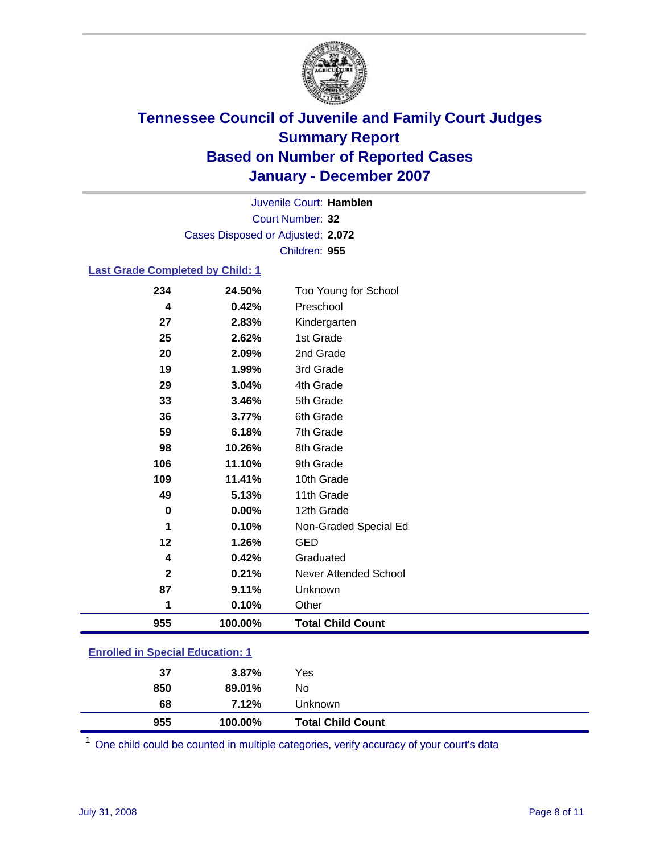

Court Number: **32** Juvenile Court: **Hamblen** Cases Disposed or Adjusted: **2,072** Children: **955**

#### **Last Grade Completed by Child: 1**

| 955          | 100.00% | <b>Total Child Count</b>     |
|--------------|---------|------------------------------|
| 1            | 0.10%   | Other                        |
| 87           | 9.11%   | Unknown                      |
| $\mathbf{2}$ | 0.21%   | <b>Never Attended School</b> |
| 4            | 0.42%   | Graduated                    |
| 12           | 1.26%   | <b>GED</b>                   |
| 1            | 0.10%   | Non-Graded Special Ed        |
| $\bf{0}$     | 0.00%   | 12th Grade                   |
| 49           | 5.13%   | 11th Grade                   |
| 109          | 11.41%  | 10th Grade                   |
| 106          | 11.10%  | 9th Grade                    |
| 98           | 10.26%  | 8th Grade                    |
| 59           | 6.18%   | 7th Grade                    |
| 36           | 3.77%   | 6th Grade                    |
| 33           | 3.46%   | 5th Grade                    |
| 29           | 3.04%   | 4th Grade                    |
| 19           | 1.99%   | 3rd Grade                    |
| 20           | 2.09%   | 2nd Grade                    |
| 25           | 2.62%   | 1st Grade                    |
| 27           | 2.83%   | Kindergarten                 |
| 4            | 0.42%   | Preschool                    |
| 234          | 24.50%  | Too Young for School         |

### **Enrolled in Special Education: 1**

| 955 | 100.00%  | <b>Total Child Count</b> |  |
|-----|----------|--------------------------|--|
| 68  | 7.12%    | Unknown                  |  |
| 850 | 89.01%   | No                       |  |
| 37  | $3.87\%$ | Yes                      |  |
|     |          |                          |  |

<sup>1</sup> One child could be counted in multiple categories, verify accuracy of your court's data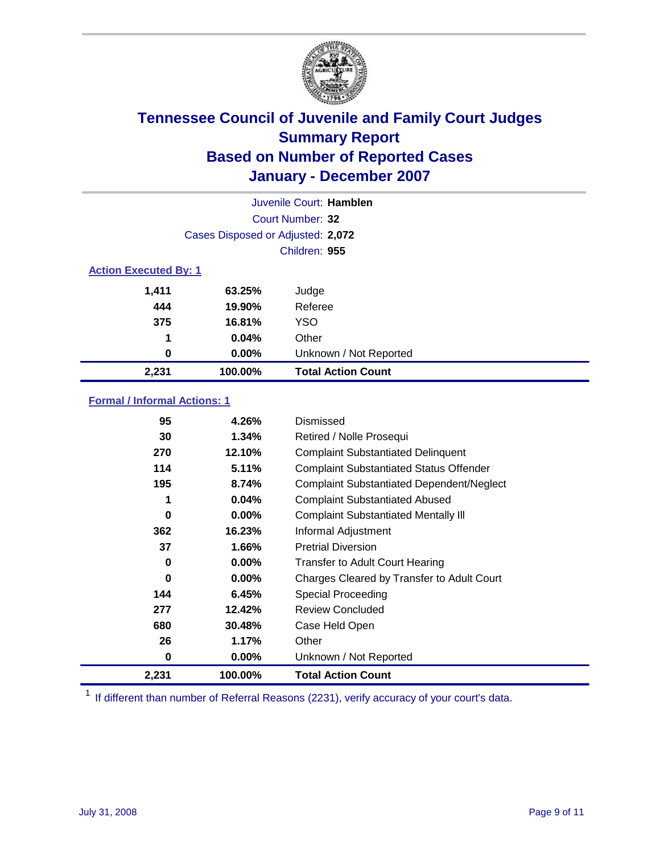

| Juvenile Court: Hamblen      |                                   |                           |  |  |  |
|------------------------------|-----------------------------------|---------------------------|--|--|--|
|                              | Court Number: 32                  |                           |  |  |  |
|                              | Cases Disposed or Adjusted: 2,072 |                           |  |  |  |
|                              |                                   | Children: 955             |  |  |  |
| <b>Action Executed By: 1</b> |                                   |                           |  |  |  |
| 1.411                        | 63.25%                            | Judge                     |  |  |  |
| 444                          | 19.90%                            | Referee                   |  |  |  |
| 375                          | 16.81%                            | <b>YSO</b>                |  |  |  |
| 1                            | 0.04%                             | Other                     |  |  |  |
| $\bf{0}$                     | $0.00\%$                          | Unknown / Not Reported    |  |  |  |
| 2,231                        | 100.00%                           | <b>Total Action Count</b> |  |  |  |

### **Formal / Informal Actions: 1**

| 95    | 4.26%    | Dismissed                                        |
|-------|----------|--------------------------------------------------|
| 30    | 1.34%    | Retired / Nolle Prosequi                         |
| 270   | 12.10%   | <b>Complaint Substantiated Delinquent</b>        |
| 114   | 5.11%    | <b>Complaint Substantiated Status Offender</b>   |
| 195   | 8.74%    | <b>Complaint Substantiated Dependent/Neglect</b> |
| 1     | 0.04%    | <b>Complaint Substantiated Abused</b>            |
| 0     | $0.00\%$ | <b>Complaint Substantiated Mentally III</b>      |
| 362   | 16.23%   | Informal Adjustment                              |
| 37    | 1.66%    | <b>Pretrial Diversion</b>                        |
| 0     | $0.00\%$ | <b>Transfer to Adult Court Hearing</b>           |
| 0     | $0.00\%$ | Charges Cleared by Transfer to Adult Court       |
| 144   | 6.45%    | Special Proceeding                               |
| 277   | 12.42%   | <b>Review Concluded</b>                          |
| 680   | 30.48%   | Case Held Open                                   |
| 26    | 1.17%    | Other                                            |
| 0     | $0.00\%$ | Unknown / Not Reported                           |
| 2,231 | 100.00%  | <b>Total Action Count</b>                        |

<sup>1</sup> If different than number of Referral Reasons (2231), verify accuracy of your court's data.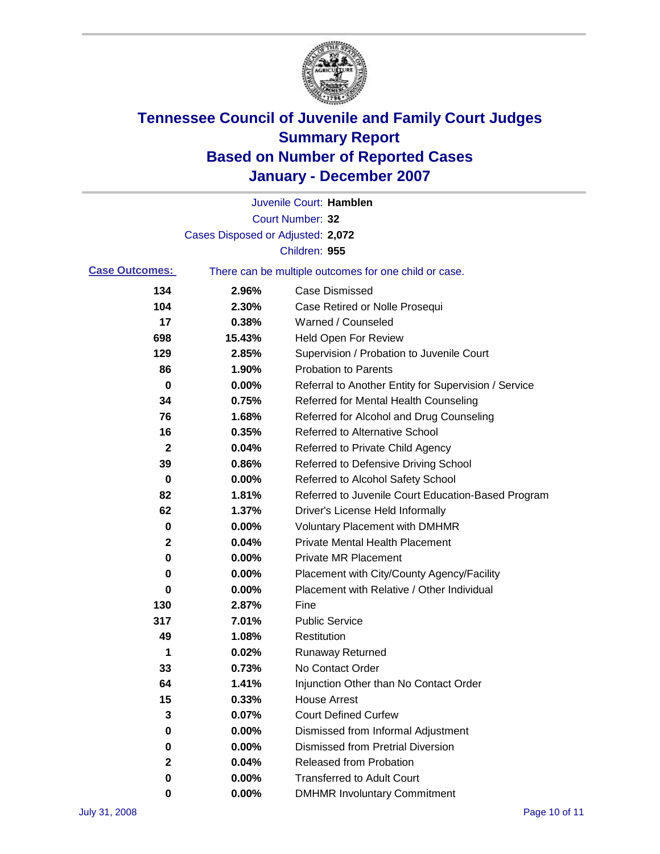

|                       |                                   | Juvenile Court: Hamblen                               |
|-----------------------|-----------------------------------|-------------------------------------------------------|
|                       |                                   | Court Number: 32                                      |
|                       | Cases Disposed or Adjusted: 2,072 |                                                       |
|                       |                                   | Children: 955                                         |
| <b>Case Outcomes:</b> |                                   | There can be multiple outcomes for one child or case. |
| 134                   | 2.96%                             | <b>Case Dismissed</b>                                 |
| 104                   | 2.30%                             | Case Retired or Nolle Prosequi                        |
| 17                    | 0.38%                             | Warned / Counseled                                    |
| 698                   | 15.43%                            | <b>Held Open For Review</b>                           |
| 129                   | 2.85%                             | Supervision / Probation to Juvenile Court             |
| 86                    | 1.90%                             | <b>Probation to Parents</b>                           |
| 0                     | 0.00%                             | Referral to Another Entity for Supervision / Service  |
| 34                    | 0.75%                             | Referred for Mental Health Counseling                 |
| 76                    | 1.68%                             | Referred for Alcohol and Drug Counseling              |
| 16                    | 0.35%                             | <b>Referred to Alternative School</b>                 |
| 2                     | 0.04%                             | Referred to Private Child Agency                      |
| 39                    | 0.86%                             | Referred to Defensive Driving School                  |
| 0                     | 0.00%                             | Referred to Alcohol Safety School                     |
| 82                    | 1.81%                             | Referred to Juvenile Court Education-Based Program    |
| 62                    | 1.37%                             | Driver's License Held Informally                      |
| 0                     | 0.00%                             | <b>Voluntary Placement with DMHMR</b>                 |
| $\mathbf{2}$          | 0.04%                             | <b>Private Mental Health Placement</b>                |
| 0                     | 0.00%                             | <b>Private MR Placement</b>                           |
| 0                     | 0.00%                             | Placement with City/County Agency/Facility            |
| 0                     | 0.00%                             | Placement with Relative / Other Individual            |
| 130                   | 2.87%                             | Fine                                                  |
| 317                   | 7.01%                             | <b>Public Service</b>                                 |
| 49                    | 1.08%                             | Restitution                                           |
| 1                     | 0.02%                             | <b>Runaway Returned</b>                               |
| 33                    | 0.73%                             | No Contact Order                                      |
| 64                    | 1.41%                             | Injunction Other than No Contact Order                |
| 15                    | 0.33%                             | <b>House Arrest</b>                                   |
| 3                     | 0.07%                             | <b>Court Defined Curfew</b>                           |
| 0                     | 0.00%                             | Dismissed from Informal Adjustment                    |
| 0                     | 0.00%                             | <b>Dismissed from Pretrial Diversion</b>              |
| $\mathbf{2}$          | 0.04%                             | Released from Probation                               |
| 0                     | 0.00%                             | <b>Transferred to Adult Court</b>                     |
| 0                     | 0.00%                             | <b>DMHMR Involuntary Commitment</b>                   |